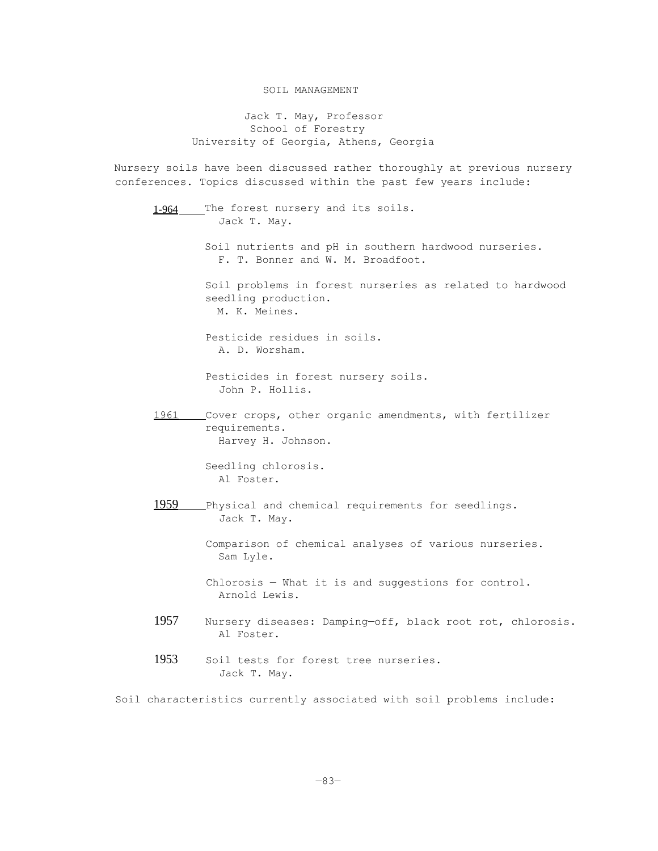## SOIL MANAGEMENT

Jack T. May, Professor School of Forestry University of Georgia, Athens, Georgia

Nursery soils have been discussed rather thoroughly at previous nursery conferences. Topics discussed within the past few years include:

1-964 The forest nursery and its soils. Jack T. May. Soil nutrients and pH in southern hardwood nurseries. F. T. Bonner and W. M. Broadfoot. Soil problems in forest nurseries as related to hardwood seedling production. M. K. Meines. Pesticide residues in soils. A. D. Worsham. Pesticides in forest nursery soils. John P. Hollis. 1961 Cover crops, other organic amendments, with fertilizer requirements. Harvey H. Johnson. Seedling chlorosis. Al Foster. 1959 Physical and chemical requirements for seedlings. Jack T. May. Comparison of chemical analyses of various nurseries. Sam Lyle. Chlorosis — What it is and suggestions for control. Arnold Lewis. 1957 Nursery diseases: Damping—off, black root rot, chlorosis. Al Foster. 1953 Soil tests for forest tree nurseries. Jack T. May.

Soil characteristics currently associated with soil problems include: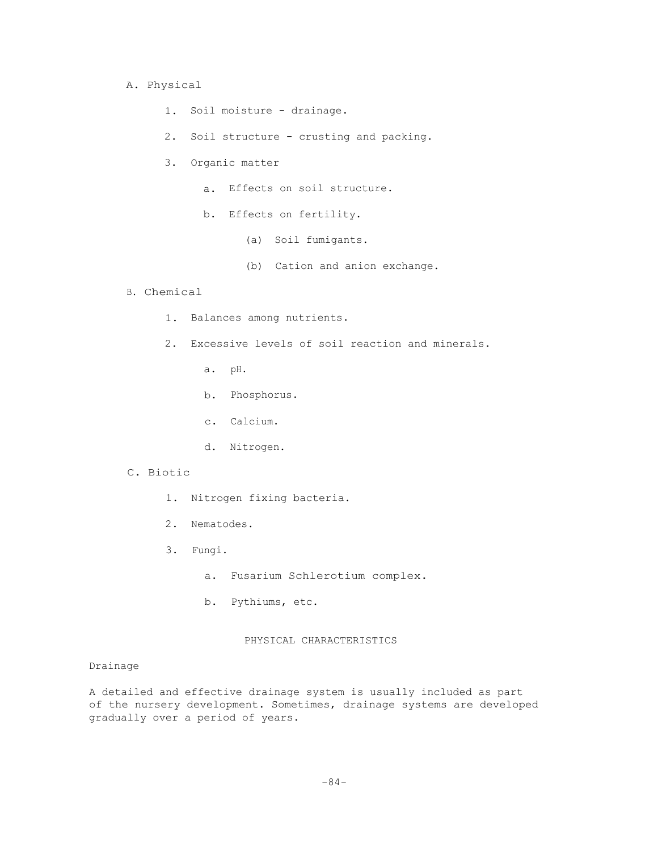### A. Physical

- 1. Soil moisture drainage.
- 2. Soil structure crusting and packing.
- 3. Organic matter
	- a. Effects on soil structure.
	- b. Effects on fertility.
		- (a) Soil fumigants.
		- (b) Cation and anion exchange.

## B. Chemical

- 1. Balances among nutrients.
- 2. Excessive levels of soil reaction and minerals.
	- a. pH.
	- b. Phosphorus.
	- c. Calcium.
	- d. Nitrogen.

# C. Biotic

- 1. Nitrogen fixing bacteria.
- 2. Nematodes.
- 3. Fungi.
	- a. Fusarium Schlerotium complex.
	- b. Pythiums, etc.

## PHYSICAL CHARACTERISTICS

## Drainage

A detailed and effective drainage system is usually included as part of the nursery development. Sometimes, drainage systems are developed gradually over a period of years.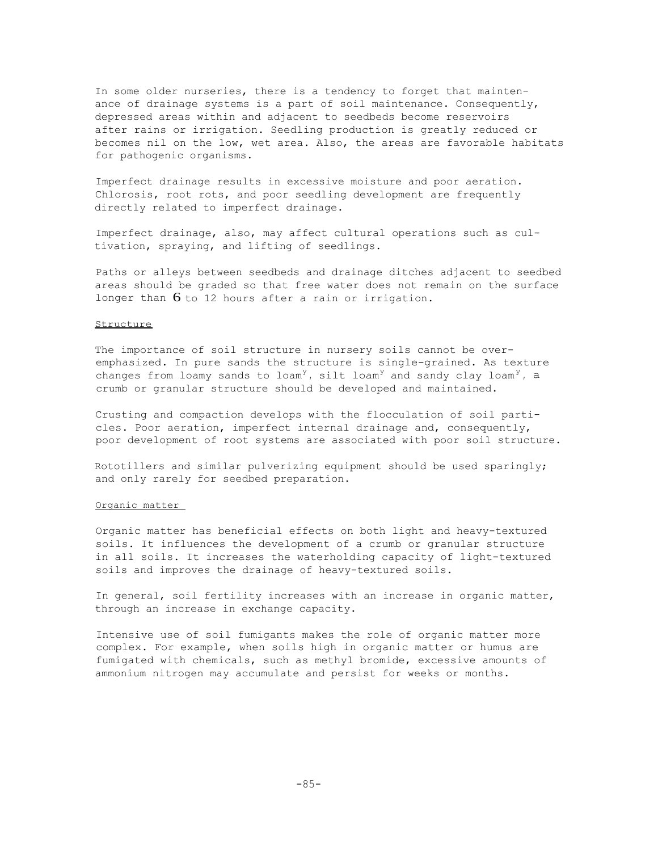In some older nurseries, there is a tendency to forget that maintenance of drainage systems is a part of soil maintenance. Consequently, depressed areas within and adjacent to seedbeds become reservoirs after rains or irrigation. Seedling production is greatly reduced or becomes nil on the low, wet area. Also, the areas are favorable habitats for pathogenic organisms.

Imperfect drainage results in excessive moisture and poor aeration. Chlorosis, root rots, and poor seedling development are frequently directly related to imperfect drainage.

Imperfect drainage, also, may affect cultural operations such as cultivation, spraying, and lifting of seedlings.

Paths or alleys between seedbeds and drainage ditches adjacent to seedbed areas should be graded so that free water does not remain on the surface longer than  $6$  to 12 hours after a rain or irrigation.

## **Structure**

The importance of soil structure in nursery soils cannot be overemphasized. In pure sands the structure is single-grained. As texture changes from loamy sands to loam<sup>y</sup>, silt loam<sup>y</sup> and sandy clay loam<sup>y</sup>, a crumb or granular structure should be developed and maintained.

Crusting and compaction develops with the flocculation of soil particles. Poor aeration, imperfect internal drainage and, consequently, poor development of root systems are associated with poor soil structure.

Rototillers and similar pulverizing equipment should be used sparingly; and only rarely for seedbed preparation.

#### Organic matter

Organic matter has beneficial effects on both light and heavy-textured soils. It influences the development of a crumb or granular structure in all soils. It increases the waterholding capacity of light-textured soils and improves the drainage of heavy-textured soils.

In general, soil fertility increases with an increase in organic matter, through an increase in exchange capacity.

Intensive use of soil fumigants makes the role of organic matter more complex. For example, when soils high in organic matter or humus are fumigated with chemicals, such as methyl bromide, excessive amounts of ammonium nitrogen may accumulate and persist for weeks or months.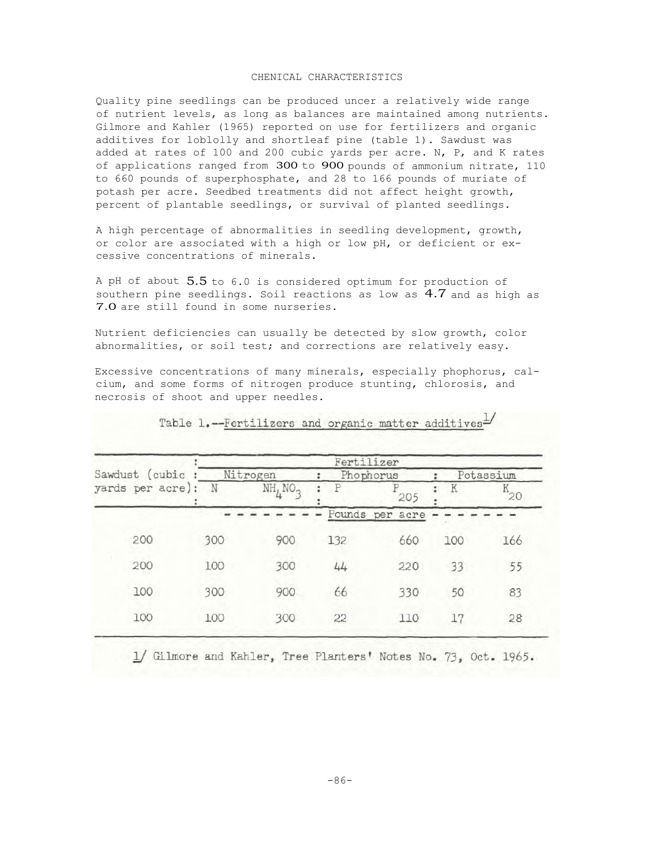#### CHENICAL CHARACTERISTICS

Quality pine seedlings can be produced uncer a relatively wide range of nutrient levels, as long as balances are maintained among nutrients. Gilmore and Kahler (1965) reported on use for fertilizers and organic additives for loblolly and shortleaf pine (table 1). Sawdust was added at rates of 100 and 200 cubic yards per acre. N, P, and K rates of applications ranged from 300 to 900 pounds of ammonium nitrate, 110 to 660 pounds of superphosphate, and 28 to 166 pounds of muriate of potash per acre. Seedbed treatments did not affect height growth, percent of plantable seedlings, or survival of planted seedlings.

A high percentage of abnormalities in seedling development, growth, or color are associated with a high or low pH, or deficient or excessive concentrations of minerals.

A pH of about 5.5 to 6.0 is considered optimum for production of southern pine seedlings. Soil reactions as low as 4.7 and as high as 7.0 are still found in some nurseries.

Nutrient deficiencies can usually be detected by slow growth, color abnormalities, or soil test; and corrections are relatively easy.

Excessive concentrations of many minerals, especially phophorus, calcium, and some forms of nitrogen produce stunting, chlorosis, and necrosis of shoot and upper needles.

|     |                     |          |     |                                            | Potassium |
|-----|---------------------|----------|-----|--------------------------------------------|-----------|
| N   | NH, NO <sub>2</sub> |          | 205 | Κ                                          | Κ<br>20   |
|     |                     |          |     |                                            |           |
| 300 | 900                 | 132      | 660 | 100                                        | 166       |
| 100 | 300                 | 44       | 220 | 33                                         | 55        |
| 300 | 900                 | 66       | 330 | 50                                         | 83        |
| 100 | 300                 | 22       | 110 | 17                                         | 28        |
|     |                     | Nitrogen |     | Fertilizer<br>Phophorus<br>Pounds per acre |           |

Table 1.--Fertilizers and organic matter additives

1/ Gilmore and Kahler, Tree Planters' Notes No. 73, Oct. 1965.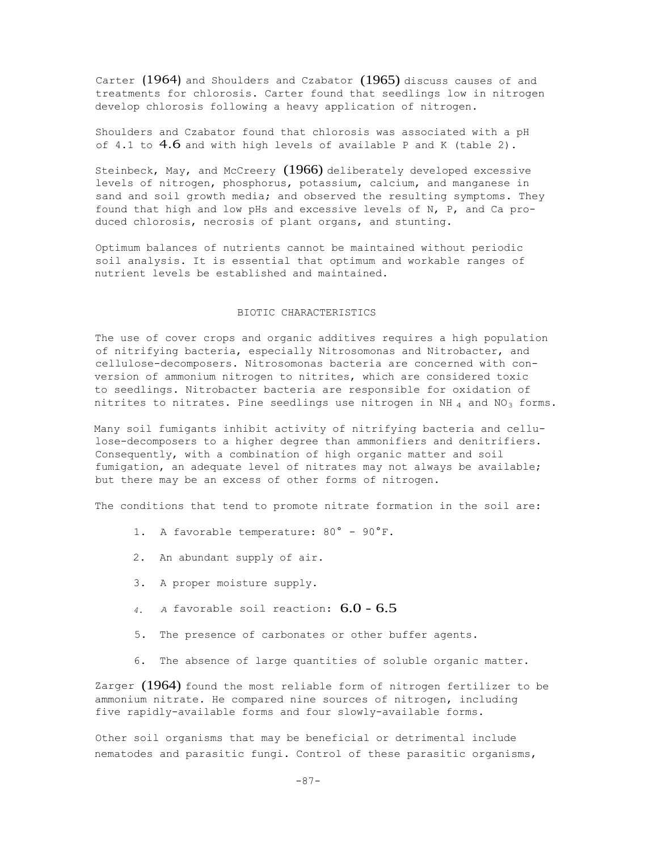Carter (1964) and Shoulders and Czabator (1965) discuss causes of and treatments for chlorosis. Carter found that seedlings low in nitrogen develop chlorosis following a heavy application of nitrogen.

Shoulders and Czabator found that chlorosis was associated with a pH of 4.1 to  $4.6$  and with high levels of available P and K (table 2).

Steinbeck, May, and McCreery (1966) deliberately developed excessive levels of nitrogen, phosphorus, potassium, calcium, and manganese in sand and soil growth media; and observed the resulting symptoms. They found that high and low pHs and excessive levels of N, P, and Ca produced chlorosis, necrosis of plant organs, and stunting.

Optimum balances of nutrients cannot be maintained without periodic soil analysis. It is essential that optimum and workable ranges of nutrient levels be established and maintained.

#### BIOTIC CHARACTERISTICS

The use of cover crops and organic additives requires a high population of nitrifying bacteria, especially Nitrosomonas and Nitrobacter, and cellulose-decomposers. Nitrosomonas bacteria are concerned with conversion of ammonium nitrogen to nitrites, which are considered toxic to seedlings. Nitrobacter bacteria are responsible for oxidation of nitrites to nitrates. Pine seedlings use nitrogen in NH  $_4$  and NO<sub>3</sub> forms.

Many soil fumigants inhibit activity of nitrifying bacteria and cellulose-decomposers to a higher degree than ammonifiers and denitrifiers. Consequently, with a combination of high organic matter and soil fumigation, an adequate level of nitrates may not always be available; but there may be an excess of other forms of nitrogen.

The conditions that tend to promote nitrate formation in the soil are:

- 1. A favorable temperature: 80° 90°F.
- 2. An abundant supply of air.
- 3. A proper moisture supply.
- *4. <sup>A</sup>*favorable soil reaction: 6.0 6.5
- 5. The presence of carbonates or other buffer agents.
- 6. The absence of large quantities of soluble organic matter.

Zarger (1964) found the most reliable form of nitrogen fertilizer to be ammonium nitrate. He compared nine sources of nitrogen, including five rapidly-available forms and four slowly-available forms.

Other soil organisms that may be beneficial or detrimental include nematodes and parasitic fungi. Control of these parasitic organisms,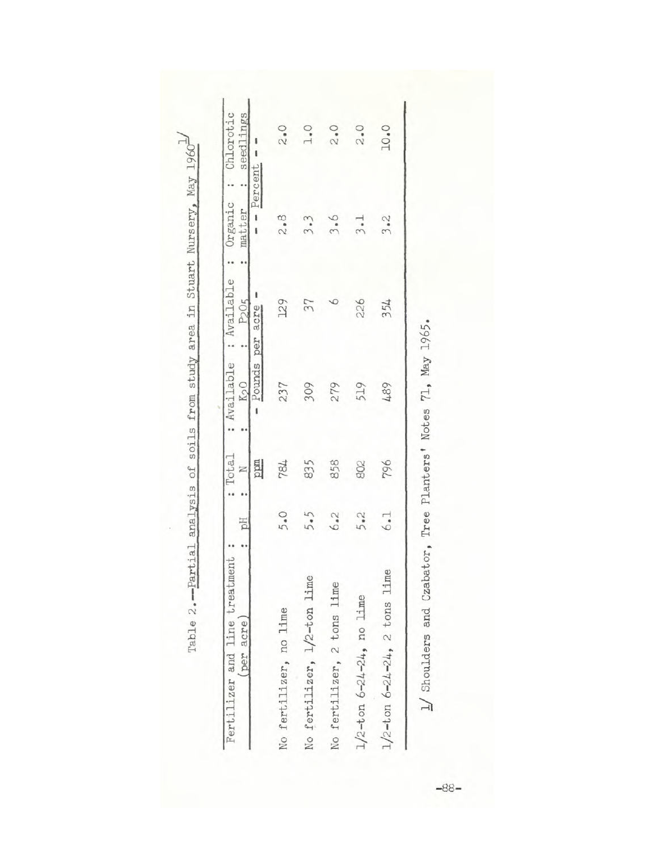| Fertilizer and line treatment<br>(per acre | рH  | Total<br>z<br>÷ | : Available<br>K <sub>2</sub> O | : Available<br>P <sub>2</sub> O <sub>5</sub> | Organic<br>matter | : Chlorotic<br>seedlings |
|--------------------------------------------|-----|-----------------|---------------------------------|----------------------------------------------|-------------------|--------------------------|
|                                            |     | ppm             | Pounds                          | acre<br>per                                  |                   | Percent                  |
| No fertilizer, no lime                     | 5.0 | 784             | 237                             | 129                                          | 2.8               | 2.0                      |
| No fertilizer, 1/2-ton lime                | 5.5 | 835             | 309                             | 37                                           | 3.3               | 1.0                      |
| No fertilizer, 2 tons lime                 | 6.2 | 858             | 279                             |                                              | 3.6               | 2.0                      |
| $1/2$ -ton $6 - 24 - 24$ , no lime         | 5.2 | 802             | 519                             | 226                                          | 3.1               | 2.0                      |
| $1/2$ -ton 6-24-24, 2 tons lime            | 6.1 | 796             | 489                             | 354                                          | 3.2               | <b>D.OL</b>              |

 $-88 88 -$